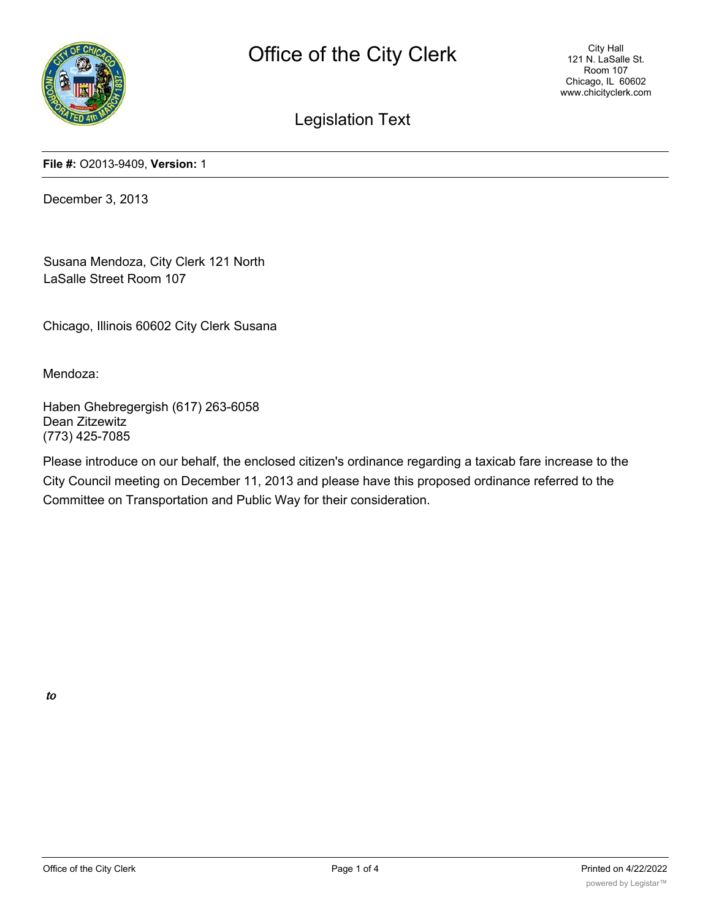

Legislation Text

**File #:** O2013-9409, **Version:** 1

December 3, 2013

Susana Mendoza, City Clerk 121 North LaSalle Street Room 107

Chicago, Illinois 60602 City Clerk Susana

Mendoza:

Haben Ghebregergish (617) 263-6058 Dean Zitzewitz (773) 425-7085

Please introduce on our behalf, the enclosed citizen's ordinance regarding a taxicab fare increase to the City Council meeting on December 11, 2013 and please have this proposed ordinance referred to the Committee on Transportation and Public Way for their consideration.

to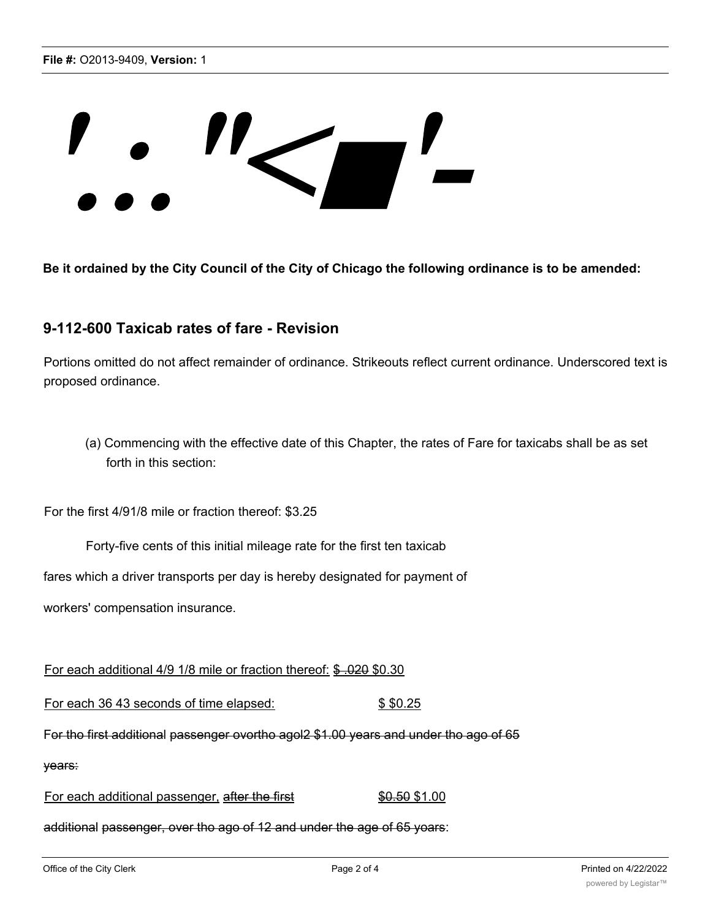## ''<"

**Be it ordained by the City Council of the City of Chicago the following ordinance is to be amended:**

## **9-112-600 Taxicab rates of fare - Revision**

Portions omitted do not affect remainder of ordinance. Strikeouts reflect current ordinance. Underscored text is proposed ordinance.

(a) Commencing with the effective date of this Chapter, the rates of Fare for taxicabs shall be as set forth in this section:

For the first 4/91/8 mile or fraction thereof: \$3.25

Forty-five cents of this initial mileage rate for the first ten taxicab

fares which a driver transports per day is hereby designated for payment of

workers' compensation insurance.

For each additional 4/9 1/8 mile or fraction thereof: \$ .020 \$0.30

For each 36 43 seconds of time elapsed:  $$ $0.25$ 

For tho first additional passenger ovortho agol2 \$1.00 years and under tho ago of 65

years:

For each additional passenger, after the first \$0.50 \$1.00

additional passenger, over tho ago of 12 and under the age of 65 yoars: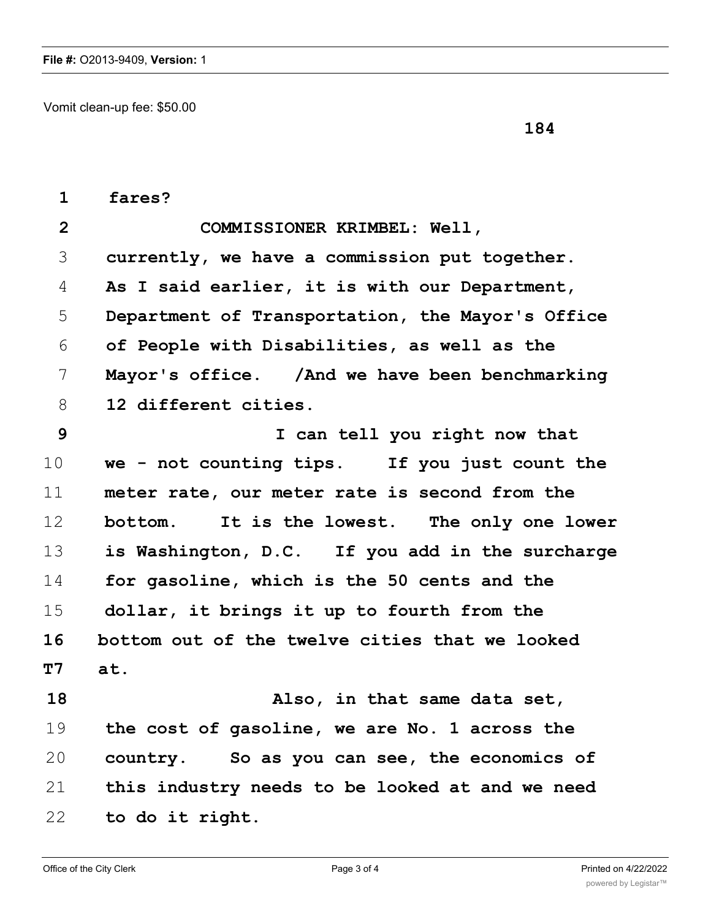Vomit clean-up fee: \$50.00

| $\mathbf{1}$   | fares?                                           |
|----------------|--------------------------------------------------|
| $\overline{2}$ | COMMISSIONER KRIMBEL: Well,                      |
| 3              | currently, we have a commission put together.    |
| 4              | As I said earlier, it is with our Department,    |
| 5              | Department of Transportation, the Mayor's Office |
| 6              | of People with Disabilities, as well as the      |
| 7              | Mayor's office. / And we have been benchmarking  |
| 8              | 12 different cities.                             |
| 9              | I can tell you right now that                    |
| 10             | we - not counting tips. If you just count the    |
| 11             | meter rate, our meter rate is second from the    |
| 12             | bottom. It is the lowest. The only one lower     |
| 13             | is Washington, D.C. If you add in the surcharge  |
| 14             | for gasoline, which is the 50 cents and the      |
| 15             | dollar, it brings it up to fourth from the       |
| 16             | bottom out of the twelve cities that we looked   |
| <b>T7</b>      | at.                                              |
| 18             | Also, in that same data set,                     |
| 19             | the cost of gasoline, we are No. 1 across the    |
| 20             | country. So as you can see, the economics of     |
| 21             | this industry needs to be looked at and we need  |
| 22             | to do it right.                                  |